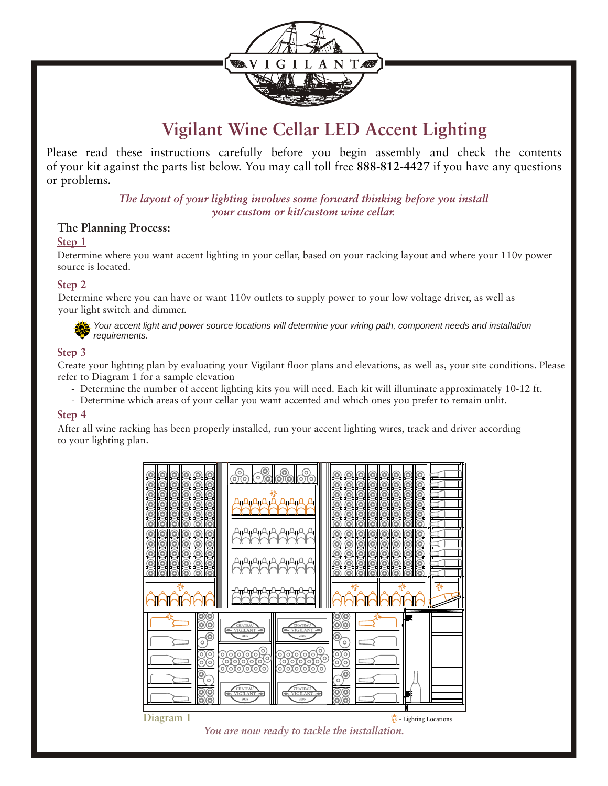

# **Vigilant Wine Cellar LED Accent Lighting**

Please read these instructions carefully before you begin assembly and check the contents of your kit against the parts list below. You may call toll free **888-812-4427** if you have any questions or problems.

> *The layout of your lighting involves some forward thinking before you install your custom or kit/custom wine cellar.*

### **The Planning Process:**

#### **Step 1**

Determine where you want accent lighting in your cellar, based on your racking layout and where your 110v power source is located.

#### **Step 2**

Determine where you can have or want 110v outlets to supply power to your low voltage driver, as well as your light switch and dimmer.



*Your accent light and power source locations will determine your wiring path, component needs and installation requirements.*

#### **Step 3**

Create your lighting plan by evaluating your Vigilant floor plans and elevations, as well as, your site conditions. Please refer to Diagram 1 for a sample elevation

- Determine the number of accent lighting kits you will need. Each kit will illuminate approximately 10-12 ft.
- Determine which areas of your cellar you want accented and which ones you prefer to remain unlit.

#### **Step 4**

After all wine racking has been properly installed, run your accent lighting wires, track and driver according to your lighting plan.



*You are now ready to tackle the installation.*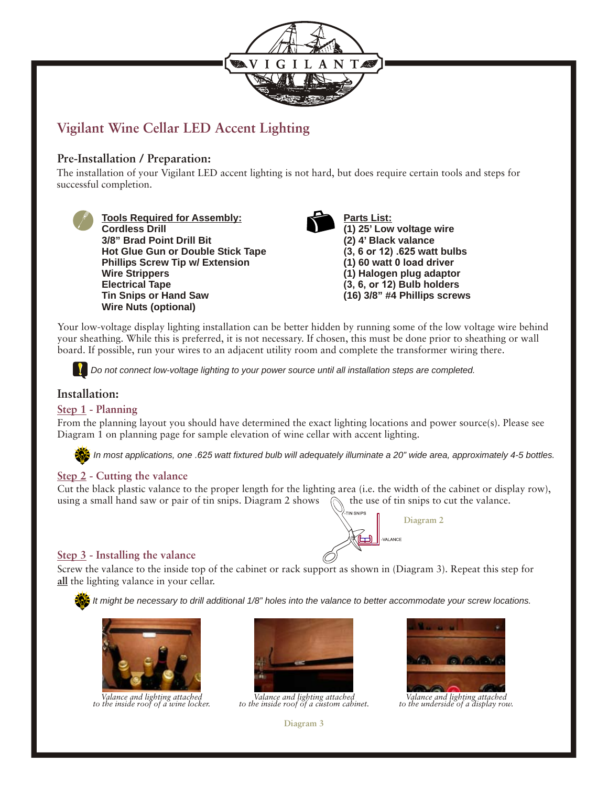

# **Vigilant Wine Cellar LED Accent Lighting**

# **Pre-Installation / Preparation:**

The installation of your Vigilant LED accent lighting is not hard, but does require certain tools and steps for successful completion.



**Tools Required for Assembly: Cordless Drill 3/8" Brad Point Drill Bit Hot Glue Gun or Double Stick Tape Phillips Screw Tip w/ Extension Wire Strippers Electrical Tape Tin Snips or Hand Saw Wire Nuts (optional)**



**Parts List: (1) 25' Low voltage wire (2) 4' Black valance (3, 6 or 12) .625 watt bulbs (1) 60 watt 0 load driver (1) Halogen plug adaptor (3, 6, or 12) Bulb holders (16) 3/8" #4 Phillips screws**

Your low-voltage display lighting installation can be better hidden by running some of the low voltage wire behind your sheathing. While this is preferred, it is not necessary. If chosen, this must be done prior to sheathing or wall board. If possible, run your wires to an adjacent utility room and complete the transformer wiring there.

*Do not connect low-voltage lighting to your power source until all installation steps are completed.* 

#### **Installation:**

#### **Step 1 - Planning**

From the planning layout you should have determined the exact lighting locations and power source(s). Please see Diagram 1 on planning page for sample elevation of wine cellar with accent lighting.

*In most applications, one .625 watt fixtured bulb will adequately illuminate a 20" wide area, approximately 4-5 bottles.*

ᠯ᠇᠊ᡅ

#### **Step 2 - Cutting the valance**

Cut the black plastic valance to the proper length for the lighting area (i.e. the width of the cabinet or display row), using a small hand saw or pair of tin snips. Diagram 2 shows  $\Diamond$  the use of tin snips to cut the valance.



Screw the valance to the inside top of the cabinet or rack support as shown in (Diagram 3). Repeat this step for **all** the lighting valance in your cellar.

*It might be necessary to drill additional 1/8" holes into the valance to better accommodate your screw locations.*



*Valance and lighting attached to the inside roof of a wine locker.*



*Valance and lighting attached to the inside roof of a custom cabinet.*



**Diagram 2**

*Valance and lighting attached to the underside of a display row.*

**Diagram 3**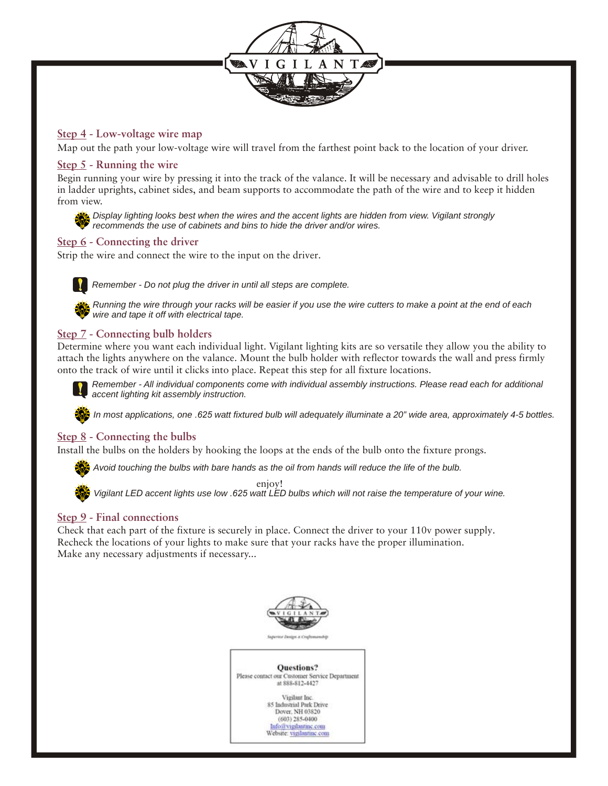

#### **Step 4 - Low-voltage wire map**

Map out the path your low-voltage wire will travel from the farthest point back to the location of your driver.

#### **Step 5 - Running the wire**

Begin running your wire by pressing it into the track of the valance. It will be necessary and advisable to drill holes in ladder uprights, cabinet sides, and beam supports to accommodate the path of the wire and to keep it hidden from view.



*Display lighting looks best when the wires and the accent lights are hidden from view. Vigilant strongly recommends the use of cabinets and bins to hide the driver and/or wires.*

#### **Step 6 - Connecting the driver**

Strip the wire and connect the wire to the input on the driver.



*Remember - Do not plug the driver in until all steps are complete.*



*Running the wire through your racks will be easier if you use the wire cutters to make a point at the end of each wire and tape it off with electrical tape.*

### **Step 7 - Connecting bulb holders**

Determine where you want each individual light. Vigilant lighting kits are so versatile they allow you the ability to attach the lights anywhere on the valance. Mount the bulb holder with reflector towards the wall and press firmly onto the track of wire until it clicks into place. Repeat this step for all fixture locations.



*Remember - All individual components come with individual assembly instructions. Please read each for additional accent lighting kit assembly instruction.*

*In most applications, one .625 watt fixtured bulb will adequately illuminate a 20" wide area, approximately 4-5 bottles.*

#### **Step 8 - Connecting the bulbs**

Install the bulbs on the holders by hooking the loops at the ends of the bulb onto the fixture prongs.

*Avoid touching the bulbs with bare hands as the oil from hands will reduce the life of the bulb.*



enjoy!

*Vigilant LED accent lights use low .625 watt LED bulbs which will not raise the temperature of your wine.*

#### **Step 9 - Final connections**

Check that each part of the fixture is securely in place. Connect the driver to your 110v power supply. Recheck the locations of your lights to make sure that your racks have the proper illumination. Make any necessary adjustments if necessary...

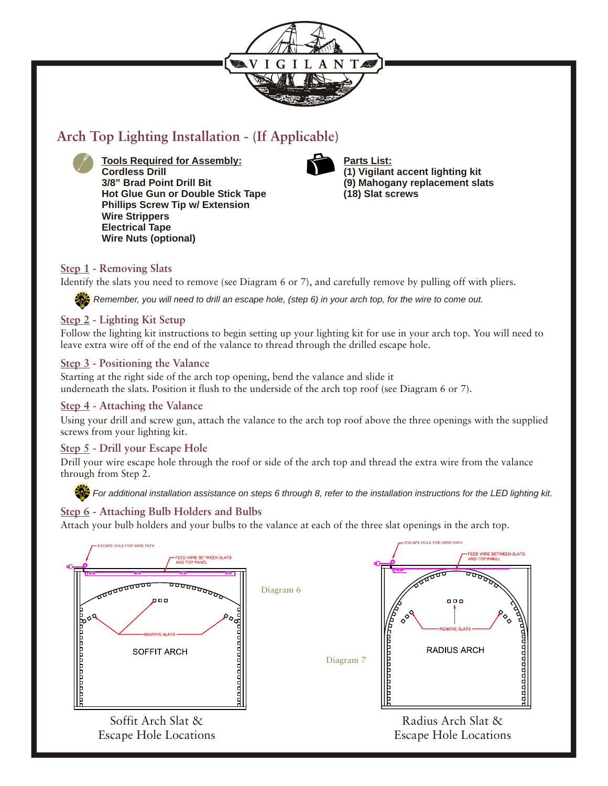

# **Arch Top Lighting Installation - (If Applicable)**



**Tools Required for Assembly: Cordless Drill 3/8" Brad Point Drill Bit Hot Glue Gun or Double Stick Tape Phillips Screw Tip w/ Extension Wire Strippers Electrical Tape Wire Nuts (optional)**



**Parts List: (1) Vigilant accent lighting kit (9) Mahogany replacement slats (18) Slat screws**

# **Step 1 - Removing Slats**

Identify the slats you need to remove (see Diagram 6 or 7), and carefully remove by pulling off with pliers.

*Remember, you will need to drill an escape hole, (step 6) in your arch top, for the wire to come out.*

# **Step 2 - Lighting Kit Setup**

Follow the lighting kit instructions to begin setting up your lighting kit for use in your arch top. You will need to leave extra wire off of the end of the valance to thread through the drilled escape hole.

# **Step 3 - Positioning the Valance**

Starting at the right side of the arch top opening, bend the valance and slide it underneath the slats. Position it flush to the underside of the arch top roof (see Diagram 6 or 7).

# **Step 4 - Attaching the Valance**

Using your drill and screw gun, attach the valance to the arch top roof above the three openings with the supplied screws from your lighting kit.

# **Step 5 - Drill your Escape Hole**

Drill your wire escape hole through the roof or side of the arch top and thread the extra wire from the valance through from Step 2.

**For additional installation assistance on steps 6 through 8, refer to the installation instructions for the LED lighting kit.** 

# **Step 6 - Attaching Bulb Holders and Bulbs**

Attach your bulb holders and your bulbs to the valance at each of the three slat openings in the arch top.